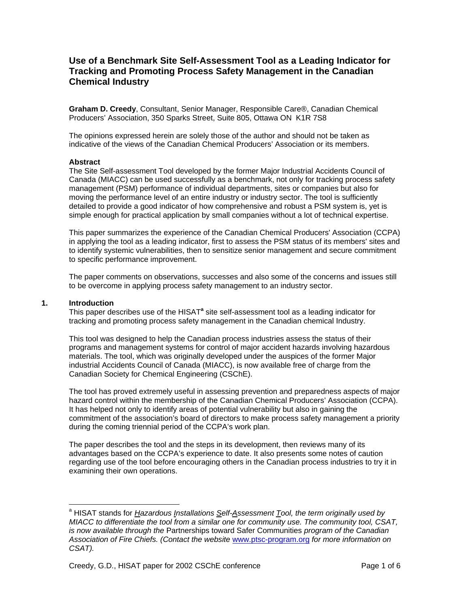# **Use of a Benchmark Site Self-Assessment Tool as a Leading Indicator for Tracking and Promoting Process Safety Management in the Canadian Chemical Industry**

**Graham D. Creedy**, Consultant, Senior Manager, Responsible Care®, Canadian Chemical Producers' Association, 350 Sparks Street, Suite 805, Ottawa ON K1R 7S8

The opinions expressed herein are solely those of the author and should not be taken as indicative of the views of the Canadian Chemical Producers' Association or its members.

#### **Abstract**

The Site Self-assessment Tool developed by the former Major Industrial Accidents Council of Canada (MIACC) can be used successfully as a benchmark, not only for tracking process safety management (PSM) performance of individual departments, sites or companies but also for moving the performance level of an entire industry or industry sector. The tool is sufficiently detailed to provide a good indicator of how comprehensive and robust a PSM system is, yet is simple enough for practical application by small companies without a lot of technical expertise.

This paper summarizes the experience of the Canadian Chemical Producers' Association (CCPA) in applying the tool as a leading indicator, first to assess the PSM status of its members' sites and to identify systemic vulnerabilities, then to sensitize senior management and secure commitment to specific performance improvement.

The paper comments on observations, successes and also some of the concerns and issues still to be overcome in applying process safety management to an industry sector.

#### **1. Introduction**

Thispaper describes use of the HISAT<sup>a</sup> site self-assessment tool as a leading indicator for tracking and promoting process safety management in the Canadian chemical Industry.

This tool was designed to help the Canadian process industries assess the status of their programs and management systems for control of major accident hazards involving hazardous materials. The tool, which was originally developed under the auspices of the former Major industrial Accidents Council of Canada (MIACC), is now available free of charge from the Canadian Society for Chemical Engineering (CSChE).

The tool has proved extremely useful in assessing prevention and preparedness aspects of major hazard control within the membership of the Canadian Chemical Producers' Association (CCPA). It has helped not only to identify areas of potential vulnerability but also in gaining the commitment of the association's board of directors to make process safety management a priority during the coming triennial period of the CCPA's work plan.

The paper describes the tool and the steps in its development, then reviews many of its advantages based on the CCPA's experience to date. It also presents some notes of caution regarding use of the tool before encouraging others in the Canadian process industries to try it in examining their own operations.

<span id="page-0-0"></span> $\overline{a}$ <sup>a</sup> HISAT stands for *Hazardous Installations <u>S</u>elf-<u>A</u>ssessment Tool, the term originally used by MIACC to differentiate the tool from a similar one for community use. The community tool, CSAT, is now available through the* Partnerships toward Safer Communities *program of the Canadian Association of Fire Chiefs. (Contact the website* www.ptsc-program.org *for more information on CSAT).*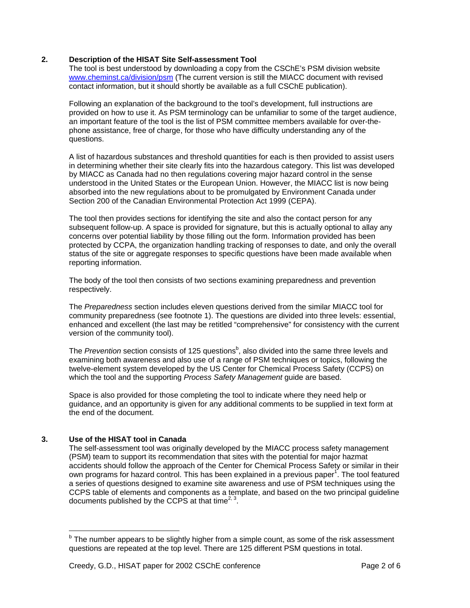#### **2. Description of the HISAT Site Self-assessment Tool**

The tool is best understood by downloading a copy from the CSChE's PSM division website www.cheminst.ca/division/psm (The current version is still the MIACC document with revised contact information, but it should shortly be available as a full CSChE publication).

Following an explanation of the background to the tool's development, full instructions are provided on how to use it. As PSM terminology can be unfamiliar to some of the target audience, an important feature of the tool is the list of PSM committee members available for over-thephone assistance, free of charge, for those who have difficulty understanding any of the questions.

A list of hazardous substances and threshold quantities for each is then provided to assist users in determining whether their site clearly fits into the hazardous category. This list was developed by MIACC as Canada had no then regulations covering major hazard control in the sense understood in the United States or the European Union. However, the MIACC list is now being absorbed into the new regulations about to be promulgated by Environment Canada under Section 200 of the Canadian Environmental Protection Act 1999 (CEPA).

The tool then provides sections for identifying the site and also the contact person for any subsequent follow-up. A space is provided for signature, but this is actually optional to allay any concerns over potential liability by those filling out the form. Information provided has been protected by CCPA, the organization handling tracking of responses to date, and only the overall status of the site or aggregate responses to specific questions have been made available when reporting information.

The body of the tool then consists of two sections examining preparedness and prevention respectively.

The *Preparedness* section includes eleven questions derived from the similar MIACC tool for community preparedness (see footnote 1). The questions are divided into three levels: essential, enhanced and excellent (the last may be retitled "comprehensive" for consistency with the current version of the community tool).

The Prevention section consists of 125 questions<sup>[b](#page-1-0)</sup>, also divided into the same three levels and examining both awareness and also use of a range of PSM techniques or topics, following the twelve-element system developed by the US Center for Chemical Process Safety (CCPS) on which the tool and the supporting *Process Safety Management* guide are based.

Space is also provided for those completing the tool to indicate where they need help or guidance, and an opportunity is given for any additional comments to be supplied in text form at the end of the document.

## **3. Use of the HISAT tool in Canada**

The self-assessment tool was originally developed by the MIACC process safety management (PSM) team to support its recommendation that sites with the potential for major hazmat accidents should follow the approach of the Center for Chemical Process Safety or similar in their own programs for hazard control[.](#page-5-0) This has been explained in a previous paper<sup>1</sup>. The tool featured a series of questions designed to examine site awareness and use of PSM techniques using the CCPS table of elements and components as a template, and based on the two principal guideline documents published by the CCPS at that time<sup>[2,](#page-5-1) 3</sup>.

<span id="page-1-0"></span><sup>————————————————————&</sup>lt;br><sup>b</sup> The number appears to be slightly higher from a simple count, as some of the risk assessment questions are repeated at the top level. There are 125 different PSM questions in total.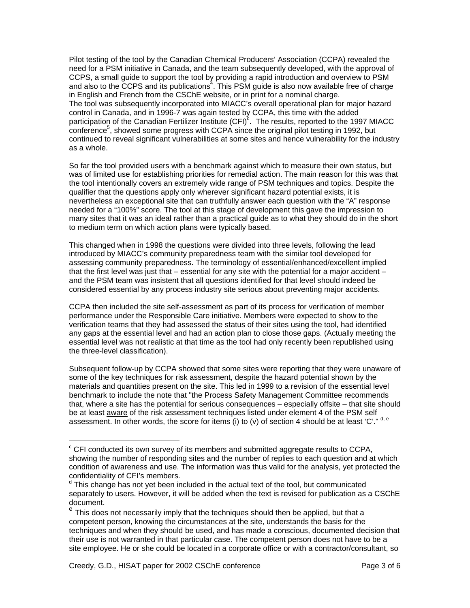<span id="page-2-2"></span>Pilot testing of the tool by the Canadian Chemical Producers' Association (CCPA) revealed the need for a PSM initiative in Canada, and the team subsequently developed, with the approval of CCPS, a small guide to support the tool by providing a rapid introduction and overview to PSM and also to the CCPS and its publications<sup>4</sup>. This PSM guide is also now available free of charge in English and French from the CSChE website, or in print for a nominal charge. The tool was subsequently incorporated into MIACC's overall operational plan for major hazard control in Canada, and in 1996-7 was again tested by CCPA, this time with the added parti[c](#page-2-0)ipation of the Canadian Fertilizer Institute (CFI)<sup>c</sup>. The results, reported to the 1997 MIACC .<br>conference<sup>5</sup>, showed some progress with CCPA since the original pilot testing in 1992, but continued to reveal significant vulnerabilities at some sites and hence vulnerability for the industry as a whole.

So far the tool provided users with a benchmark against which to measure their own status, but was of limited use for establishing priorities for remedial action. The main reason for this was that the tool intentionally covers an extremely wide range of PSM techniques and topics. Despite the qualifier that the questions apply only wherever significant hazard potential exists, it is nevertheless an exceptional site that can truthfully answer each question with the "A" response needed for a "100%" score. The tool at this stage of development this gave the impression to many sites that it was an ideal rather than a practical guide as to what they should do in the short to medium term on which action plans were typically based.

This changed when in 1998 the questions were divided into three levels, following the lead introduced by MIACC's community preparedness team with the similar tool developed for assessing community preparedness. The terminology of essential/enhanced/excellent implied that the first level was just that – essential for any site with the potential for a major accident – and the PSM team was insistent that all questions identified for that level should indeed be considered essential by any process industry site serious about preventing major accidents.

CCPA then included the site self-assessment as part of its process for verification of member performance under the Responsible Care initiative. Members were expected to show to the verification teams that they had assessed the status of their sites using the tool, had identified any gaps at the essential level and had an action plan to close those gaps. (Actually meeting the essential level was not realistic at that time as the tool had only recently been republished using the three-level classification).

Subsequent follow-up by CCPA showed that some sites were reporting that they were unaware of some of the key techniques for risk assessment, despite the hazard potential shown by the materials and quantities present on the site. This led in 1999 to a revision of the essential level benchmark to include the note that "the Process Safety Management Committee recommends that, where a site has the potential for serious consequences – especially offsite – that site should be at least aware of the risk assessment techniques listed under element 4 of the PSM self assessment. In other words, the score for items (i) to (v) of section 4 should be at least 'C'." [d,](#page-2-1) [e](#page-2-2)

 $\overline{a}$ 

<span id="page-2-0"></span> $\textdegree$  CFI conducted its own survey of its members and submitted aggregate results to CCPA, showing the number of responding sites and the number of replies to each question and at which condition of awareness and use. The information was thus valid for the analysis, yet protected the confidentiality of CFI's members.

<span id="page-2-1"></span><sup>&</sup>lt;sup>d</sup> This change has not yet been included in the actual text of the tool, but communicated separately to users. However, it will be added when the text is revised for publication as a CSChE document.

<sup>&</sup>lt;sup>e</sup> This does not necessarily imply that the techniques should then be applied, but that a competent person, knowing the circumstances at the site, understands the basis for the techniques and when they should be used, and has made a conscious, documented decision that their use is not warranted in that particular case. The competent person does not have to be a site employee. He or she could be located in a corporate office or with a contractor/consultant, so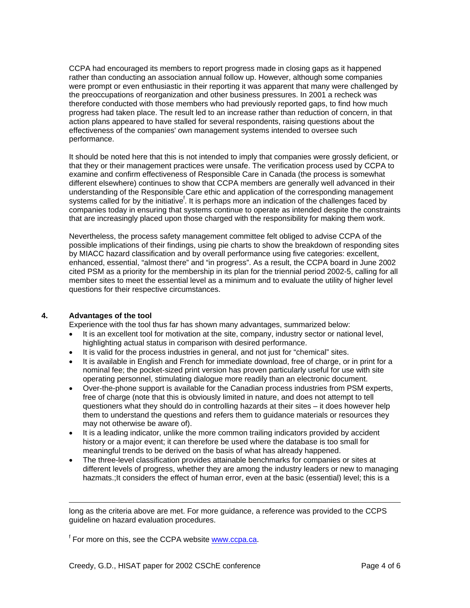CCPA had encouraged its members to report progress made in closing gaps as it happened rather than conducting an association annual follow up. However, although some companies were prompt or even enthusiastic in their reporting it was apparent that many were challenged by the preoccupations of reorganization and other business pressures. In 2001 a recheck was therefore conducted with those members who had previously reported gaps, to find how much progress had taken place. The result led to an increase rather than reduction of concern, in that action plans appeared to have stalled for several respondents, raising questions about the effectiveness of the companies' own management systems intended to oversee such performance.

It should be noted here that this is not intended to imply that companies were grossly deficient, or that they or their management practices were unsafe. The verification process used by CCPA to examine and confirm effectiveness of Responsible Care in Canada (the process is somewhat different elsewhere) continues to show that CCPA members are generally well advanced in their understanding of the Responsible Care ethic and application of the corresponding management systems called for by the initiative<sup>f</sup>[.](#page-3-0) It is perhaps more an indication of the challenges faced by companies today in ensuring that systems continue to operate as intended despite the constraints that are increasingly placed upon those charged with the responsibility for making them work.

Nevertheless, the process safety management committee felt obliged to advise CCPA of the possible implications of their findings, using pie charts to show the breakdown of responding sites by MIACC hazard classification and by overall performance using five categories: excellent, enhanced, essential, "almost there" and "in progress". As a result, the CCPA board in June 2002 cited PSM as a priority for the membership in its plan for the triennial period 2002-5, calling for all member sites to meet the essential level as a minimum and to evaluate the utility of higher level questions for their respective circumstances.

## **4. Advantages of the tool**

Experience with the tool thus far has shown many advantages, summarized below:

- It is an excellent tool for motivation at the site, company, industry sector or national level, highlighting actual status in comparison with desired performance.
- It is valid for the process industries in general, and not just for "chemical" sites.
- It is available in English and French for immediate download, free of charge, or in print for a nominal fee; the pocket-sized print version has proven particularly useful for use with site operating personnel, stimulating dialogue more readily than an electronic document.
- Over-the-phone support is available for the Canadian process industries from PSM experts, free of charge (note that this is obviously limited in nature, and does not attempt to tell questioners what they should do in controlling hazards at their sites – it does however help them to understand the questions and refers them to guidance materials or resources they may not otherwise be aware of).
- It is a leading indicator, unlike the more common trailing indicators provided by accident history or a major event; it can therefore be used where the database is too small for meaningful trends to be derived on the basis of what has already happened.
- The three-level classification provides attainable benchmarks for companies or sites at different levels of progress, whether they are among the industry leaders or new to managing hazmats.;It considers the effect of human error, even at the basic (essential) level; this is a

<span id="page-3-0"></span><sup>f</sup> For more on this, see the CCPA website **www.ccpa.ca**.

long as the criteria above are met. For more guidance, a reference was provided to the CCPS guideline on hazard evaluation procedures.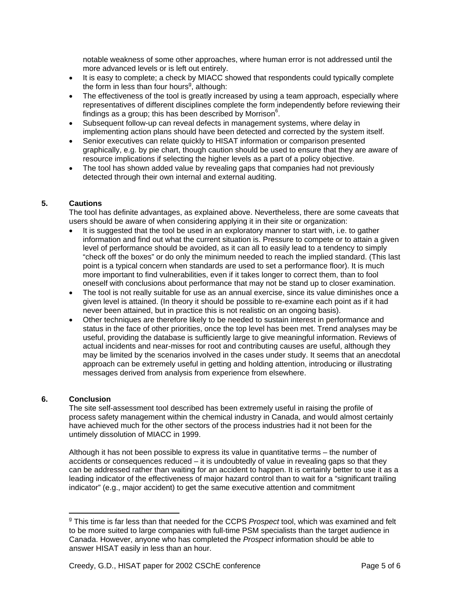notable weakness of some other approaches, where human error is not addressed until the more advanced levels or is left out entirely.

- It is easy to complete; a check by MIACC showed that respondents could typically complete the form in less than four hours<sup>g</sup>[,](#page-4-0) although:
- The effectiveness of the tool is greatly increased by using a team approach, especially where representatives of different disciplines complete the form independently before reviewing their findings as a group; this has been described by Morrison $6$ [.](#page-5-5)
- Subsequent follow-up can reveal defects in management systems, where delay in implementing action plans should have been detected and corrected by the system itself.
- Senior executives can relate quickly to HISAT information or comparison presented graphically, e.g. by pie chart, though caution should be used to ensure that they are aware of resource implications if selecting the higher levels as a part of a policy objective.
- The tool has shown added value by revealing gaps that companies had not previously detected through their own internal and external auditing.

# **5. Cautions**

The tool has definite advantages, as explained above. Nevertheless, there are some caveats that users should be aware of when considering applying it in their site or organization:

- It is suggested that the tool be used in an exploratory manner to start with, i.e. to gather information and find out what the current situation is. Pressure to compete or to attain a given level of performance should be avoided, as it can all to easily lead to a tendency to simply "check off the boxes" or do only the minimum needed to reach the implied standard. (This last point is a typical concern when standards are used to set a performance floor). It is much more important to find vulnerabilities, even if it takes longer to correct them, than to fool oneself with conclusions about performance that may not be stand up to closer examination.
- The tool is not really suitable for use as an annual exercise, since its value diminishes once a given level is attained. (In theory it should be possible to re-examine each point as if it had never been attained, but in practice this is not realistic on an ongoing basis).
- Other techniques are therefore likely to be needed to sustain interest in performance and status in the face of other priorities, once the top level has been met. Trend analyses may be useful, providing the database is sufficiently large to give meaningful information. Reviews of actual incidents and near-misses for root and contributing causes are useful, although they may be limited by the scenarios involved in the cases under study. It seems that an anecdotal approach can be extremely useful in getting and holding attention, introducing or illustrating messages derived from analysis from experience from elsewhere.

## **6. Conclusion**

The site self-assessment tool described has been extremely useful in raising the profile of process safety management within the chemical industry in Canada, and would almost certainly have achieved much for the other sectors of the process industries had it not been for the untimely dissolution of MIACC in 1999.

Although it has not been possible to express its value in quantitative terms – the number of accidents or consequences reduced – it is undoubtedly of value in revealing gaps so that they can be addressed rather than waiting for an accident to happen. It is certainly better to use it as a leading indicator of the effectiveness of major hazard control than to wait for a "significant trailing indicator" (e.g., major accident) to get the same executive attention and commitment

<span id="page-4-0"></span> $\overline{a}$ <sup>g</sup> This time is far less than that needed for the CCPS *Prospect* tool, which was examined and felt to be more suited to large companies with full-time PSM specialists than the target audience in Canada. However, anyone who has completed the *Prospect* information should be able to answer HISAT easily in less than an hour.